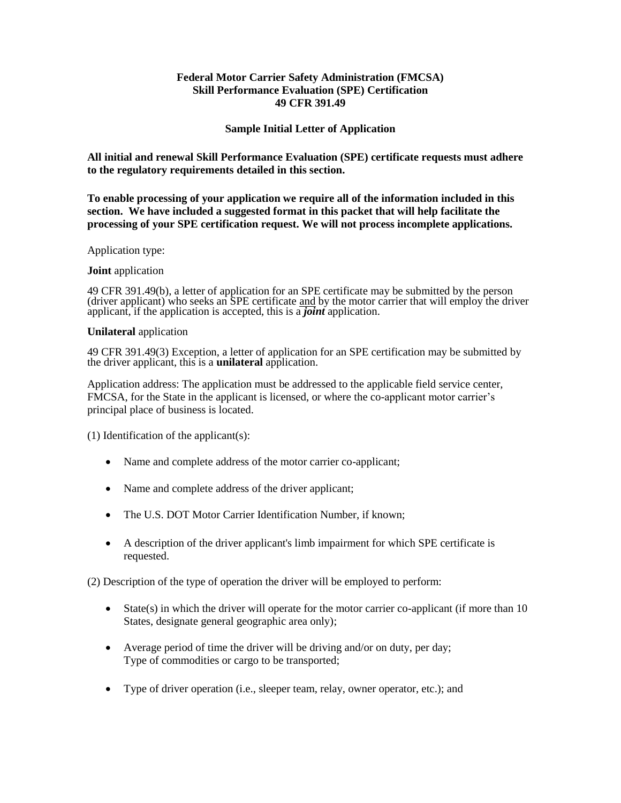#### **Federal Motor Carrier Safety Administration (FMCSA) Skill Performance Evaluation (SPE) Certification 49 CFR 391.49**

## **Sample Initial Letter of Application**

**All initial and renewal Skill Performance Evaluation (SPE) certificate requests must adhere to the regulatory requirements detailed in this section.** 

**To enable processing of your application we require all of the information included in this section. We have included a suggested format in this packet that will help facilitate the processing of your SPE certification request. We will not process incomplete applications.** 

Application type:

**Joint** application

49 CFR 391.49(b), a letter of application for an SPE certificate may be submitted by the person (driver applicant) who seeks an SPE certificate and by the motor carrier that will employ the driver applicant, if the application is accepted, this is a *joint* application.

#### **Unilateral** application

49 CFR 391.49(3) Exception, a letter of application for an SPE certification may be submitted by the driver applicant, this is a **unilateral** application.

Application address: The application must be addressed to the applicable field service center, FMCSA, for the State in the applicant is licensed, or where the co-applicant motor carrier's principal place of business is located.

(1) Identification of the applicant(s):

- Name and complete address of the motor carrier co-applicant;
- Name and complete address of the driver applicant;
- The U.S. DOT Motor Carrier Identification Number, if known;
- A description of the driver applicant's limb impairment for which SPE certificate is requested.

(2) Description of the type of operation the driver will be employed to perform:

- State(s) in which the driver will operate for the motor carrier co-applicant (if more than  $10$ States, designate general geographic area only);
- Average period of time the driver will be driving and/or on duty, per day; Type of commodities or cargo to be transported;
- Type of driver operation (i.e., sleeper team, relay, owner operator, etc.); and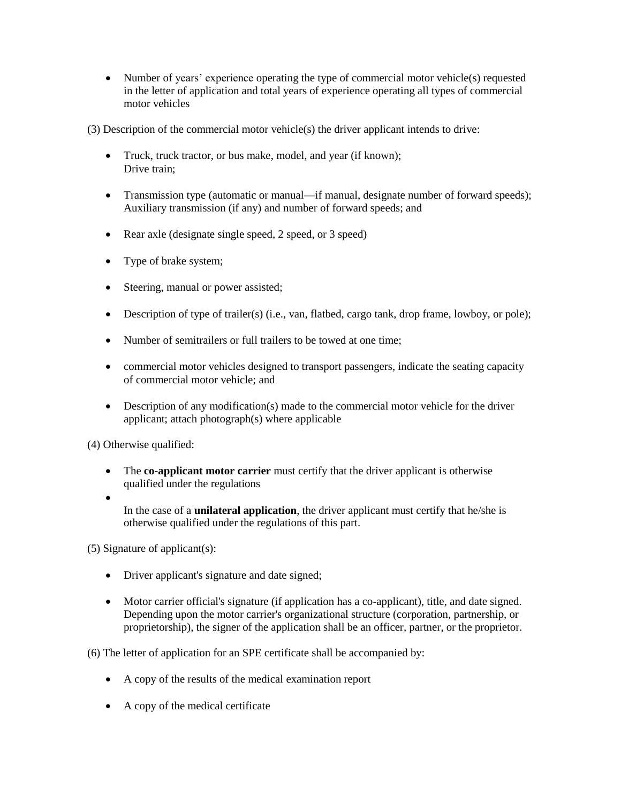- Number of years' experience operating the type of commercial motor vehicle(s) requested in the letter of application and total years of experience operating all types of commercial motor vehicles
- (3) Description of the commercial motor vehicle(s) the driver applicant intends to drive:
	- Truck, truck tractor, or bus make, model, and year (if known); Drive train;
	- Transmission type (automatic or manual—if manual, designate number of forward speeds); Auxiliary transmission (if any) and number of forward speeds; and
	- Rear axle (designate single speed, 2 speed, or 3 speed)
	- Type of brake system;
	- Steering, manual or power assisted;
	- Description of type of trailer(s) (i.e., van, flatbed, cargo tank, drop frame, lowboy, or pole);
	- Number of semitrailers or full trailers to be towed at one time;
	- commercial motor vehicles designed to transport passengers, indicate the seating capacity of commercial motor vehicle; and
	- Description of any modification(s) made to the commercial motor vehicle for the driver applicant; attach photograph(s) where applicable

(4) Otherwise qualified:

- The **co-applicant motor carrier** must certify that the driver applicant is otherwise qualified under the regulations
- $\bullet$

In the case of a **unilateral application**, the driver applicant must certify that he/she is otherwise qualified under the regulations of this part.

(5) Signature of applicant(s):

- Driver applicant's signature and date signed;
- Motor carrier official's signature (if application has a co-applicant), title, and date signed. Depending upon the motor carrier's organizational structure (corporation, partnership, or proprietorship), the signer of the application shall be an officer, partner, or the proprietor.

(6) The letter of application for an SPE certificate shall be accompanied by:

- A copy of the results of the medical examination report
- A copy of the medical certificate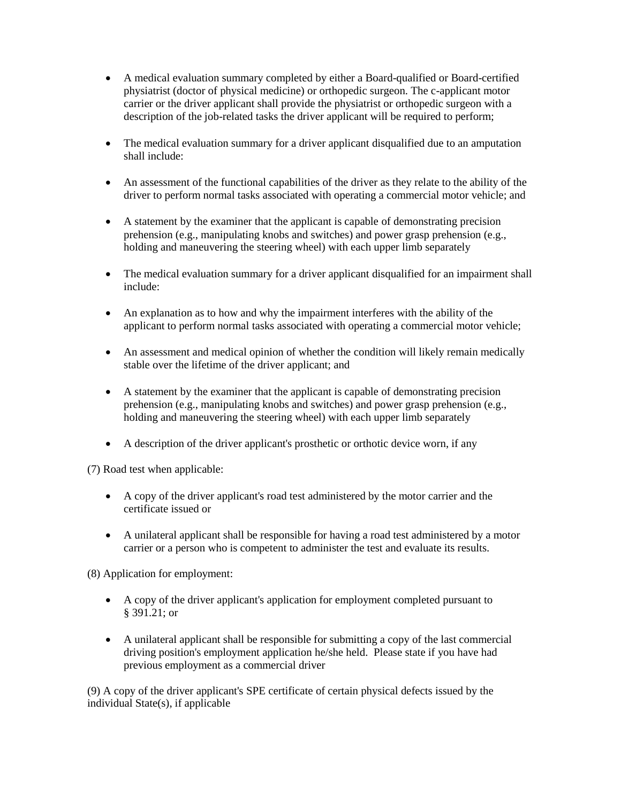- A medical evaluation summary completed by either a Board-qualified or Board-certified physiatrist (doctor of physical medicine) or orthopedic surgeon. The c-applicant motor carrier or the driver applicant shall provide the physiatrist or orthopedic surgeon with a description of the job-related tasks the driver applicant will be required to perform;
- The medical evaluation summary for a driver applicant disqualified due to an amputation shall include:
- An assessment of the functional capabilities of the driver as they relate to the ability of the driver to perform normal tasks associated with operating a commercial motor vehicle; and
- A statement by the examiner that the applicant is capable of demonstrating precision prehension (e.g., manipulating knobs and switches) and power grasp prehension (e.g., holding and maneuvering the steering wheel) with each upper limb separately
- The medical evaluation summary for a driver applicant disqualified for an impairment shall include:
- An explanation as to how and why the impairment interferes with the ability of the applicant to perform normal tasks associated with operating a commercial motor vehicle;
- An assessment and medical opinion of whether the condition will likely remain medically stable over the lifetime of the driver applicant; and
- A statement by the examiner that the applicant is capable of demonstrating precision prehension (e.g., manipulating knobs and switches) and power grasp prehension (e.g., holding and maneuvering the steering wheel) with each upper limb separately
- A description of the driver applicant's prosthetic or orthotic device worn, if any

(7) Road test when applicable:

- A copy of the driver applicant's road test administered by the motor carrier and the certificate issued or
- A unilateral applicant shall be responsible for having a road test administered by a motor carrier or a person who is competent to administer the test and evaluate its results.

(8) Application for employment:

- A copy of the driver applicant's application for employment completed pursuant to § 391.21; or
- A unilateral applicant shall be responsible for submitting a copy of the last commercial driving position's employment application he/she held. Please state if you have had previous employment as a commercial driver

(9) A copy of the driver applicant's SPE certificate of certain physical defects issued by the individual State(s), if applicable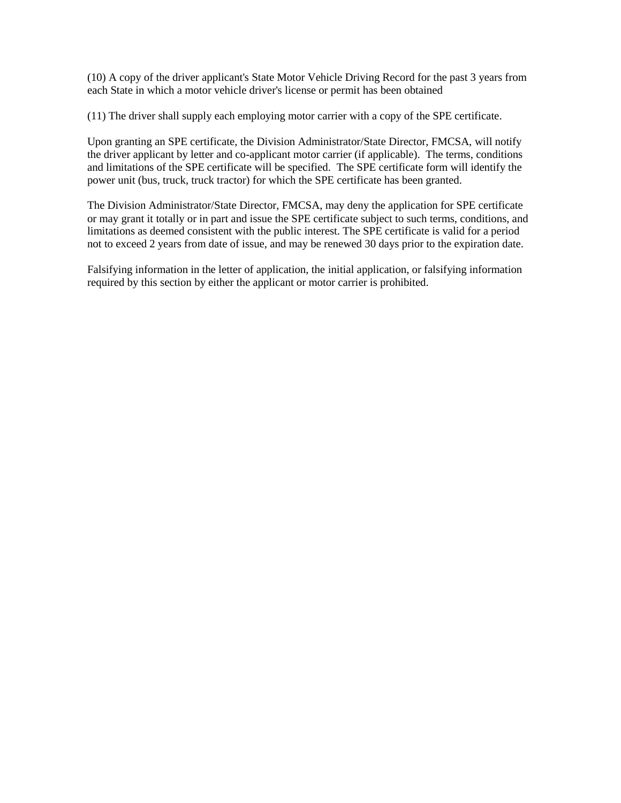(10) A copy of the driver applicant's State Motor Vehicle Driving Record for the past 3 years from each State in which a motor vehicle driver's license or permit has been obtained

(11) The driver shall supply each employing motor carrier with a copy of the SPE certificate.

Upon granting an SPE certificate, the Division Administrator/State Director, FMCSA, will notify the driver applicant by letter and co-applicant motor carrier (if applicable). The terms, conditions and limitations of the SPE certificate will be specified. The SPE certificate form will identify the power unit (bus, truck, truck tractor) for which the SPE certificate has been granted.

The Division Administrator/State Director, FMCSA, may deny the application for SPE certificate or may grant it totally or in part and issue the SPE certificate subject to such terms, conditions, and limitations as deemed consistent with the public interest. The SPE certificate is valid for a period not to exceed 2 years from date of issue, and may be renewed 30 days prior to the expiration date.

Falsifying information in the letter of application, the initial application, or falsifying information required by this section by either the applicant or motor carrier is prohibited.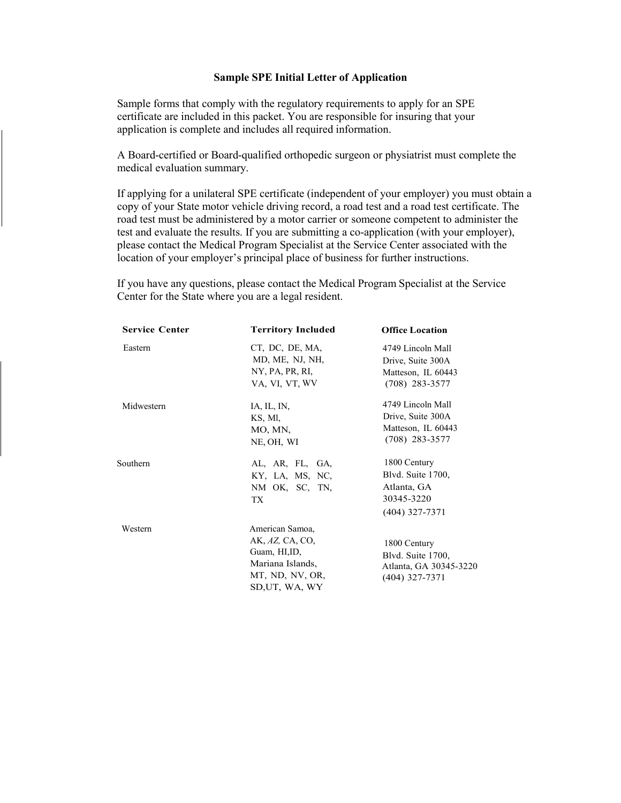### **Sample SPE Initial Letter of Application**

Sample forms that comply with the regulatory requirements to apply for an SPE certificate are included in this packet. You are responsible for insuring that your application is complete and includes all required information.

A Board-certified or Board-qualified orthopedic surgeon or physiatrist must complete the medical evaluation summary.

If applying for a unilateral SPE certificate (independent of your employer) you must obtain a copy of your State motor vehicle driving record, a road test and a road test certificate. The road test must be administered by a motor carrier or someone competent to administer the test and evaluate the results. If you are submitting a co-application (with your employer), please contact the Medical Program Specialist at the Service Center associated with the location of your employer's principal place of business for further instructions.

If you have any questions, please contact the Medical Program Specialist at the Service Center for the State where you are a legal resident.

| <b>Service Center</b> | <b>Territory Included</b> | <b>Office Location</b> |
|-----------------------|---------------------------|------------------------|
| Eastern               | CT, DC, DE, MA,           | 4749 Lincoln Mall      |
|                       | MD, ME, NJ, NH,           | Drive, Suite 300A      |
|                       | NY, PA, PR, RI,           | Matteson, IL 60443     |
|                       | VA, VI, VT, WV            | $(708)$ 283-3577       |
| Midwestern            | IA, IL, IN,               | 4749 Lincoln Mall      |
|                       | KS, Ml.                   | Drive, Suite 300A      |
|                       | MO, MN,                   | Matteson, IL 60443     |
|                       | NE, OH, WI                | $(708)$ 283-3577       |
| Southern              | AL, AR, FL, GA,           | 1800 Century           |
|                       | KY, LA, MS, NC,           | Blvd. Suite 1700,      |
|                       | NM OK, SC, TN,            | Atlanta, GA            |
|                       | TX.                       | 30345-3220             |
|                       |                           | $(404)$ 327-7371       |
| Western               | American Samoa,           |                        |
|                       | AK, AZ, CA, CO,           | 1800 Century           |
|                       | Guam, HI,ID,              | Blvd. Suite 1700,      |
|                       | Mariana Islands,          | Atlanta, GA 30345-3220 |
|                       | MT, ND, NV, OR,           | (404) 327-7371         |
|                       | SD, UT, WA, WY            |                        |
|                       |                           |                        |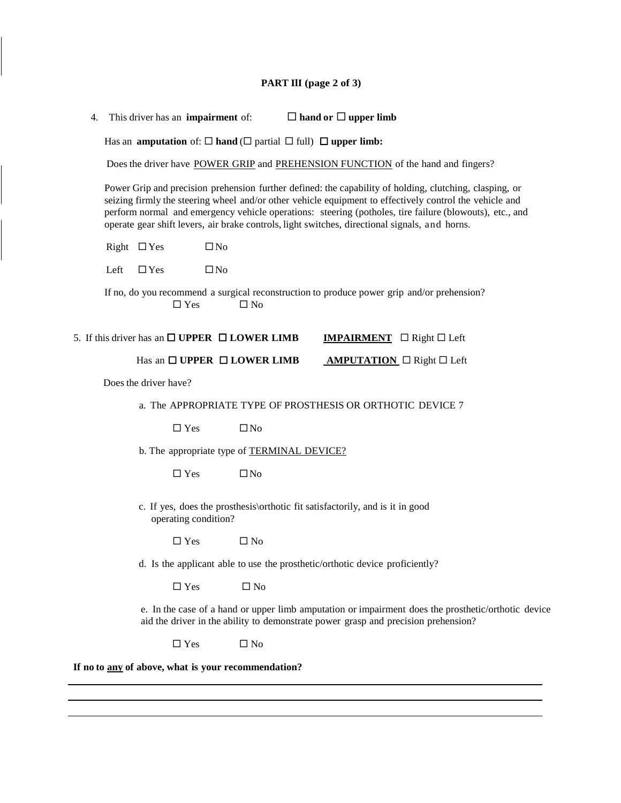### **PART IlI (page 2 of 3)**

4. This driver has an **impairment** of:  $\Box$  **hand or**  $\Box$  **upper limb** 

Has an **amputation** of:  $\square$  **hand**  $(\square$  partial  $\square$  full)  $\square$  **upper limb:** 

Does the driver have POWER GRIP and PREHENSION FUNCTION of the hand and fingers?

 Power Grip and precision prehension further defined: the capability of holding, clutching, clasping, or seizing firmly the steering wheel and/or other vehicle equipment to effectively control the vehicle and perform normal and emergency vehicle operations: steering (potholes, tire failure (blowouts), etc., and operate gear shift levers, air brake controls, light switches, directional signals, and horns.

Right  $\Box$  Yes  $\Box$  No

Left  $\Box$  Yes  $\Box$  No

If no, do you recommend a surgical reconstruction to produce power grip and/or prehension?  $\Box$  Yes  $\Box$  No

5. If this driver has an  $\Box$  **UPPER**  $\Box$  **LOWER LIMB IMPAIRMENT**  $\Box$  Right  $\Box$  Left

#### Has an  $\Box$  **UPPER**  $\Box$  **LOWER LIMB** AMPUTATION  $\Box$  Right  $\Box$  Left

Does the driver have?

a. The APPROPRIATE TYPE OF PROSTHESIS OR ORTHOTIC DEVICE 7

 $\Box$  Yes  $\Box$  No

b. The appropriate type of **TERMINAL DEVICE?** 

 $\Box$  Yes  $\Box$  No

c. If yes, does the prosthesis\orthotic fit satisfactorily, and is it in good operating condition?

 $\Box$  Yes  $\Box$  No

d. Is the applicant able to use the prosthetic/orthotic device proficiently?

 $\Box$  Yes  $\Box$  No

e. In the case of a hand or upper limb amputation or impairment does the prosthetic/orthotic device aid the driver in the ability to demonstrate power grasp and precision prehension?

 $\Box$  Yes  $\Box$  No

**If no to any of above, what is your recommendation?**